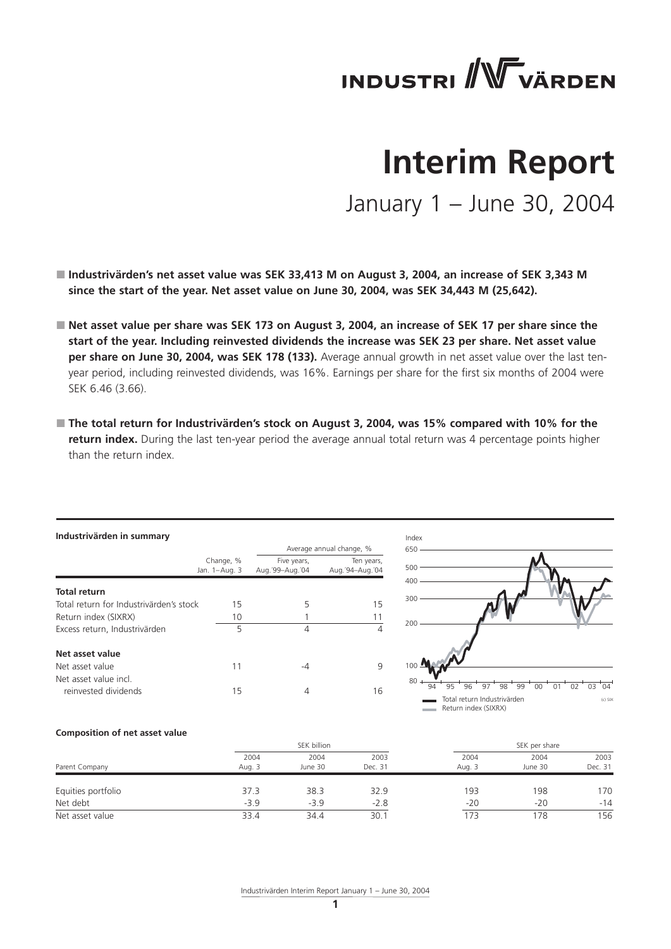

# **Interim Report**

January 1 – June 30, 2004

- **Industrivärden's net asset value was SEK 33,413 M on August 3, 2004, an increase of SEK 3,343 M since the start of the year. Net asset value on June 30, 2004, was SEK 34,443 M (25,642).**
- Net asset value per share was SEK 173 on August 3, 2004, an increase of SEK 17 per share since the **start of the year. Including reinvested dividends the increase was SEK 23 per share. Net asset value per share on June 30, 2004, was SEK 178 (133).** Average annual growth in net asset value over the last tenyear period, including reinvested dividends, was 16%. Earnings per share for the first six months of 2004 were SEK 6.46 (3.66).
- The total return for Industrivärden's stock on August 3, 2004, was 15% compared with 10% for the **return index.** During the last ten-year period the average annual total return was 4 percentage points higher than the return index.

| Industrivärden in summary                    |                            |                                  |                               |  |  |  |  |  |
|----------------------------------------------|----------------------------|----------------------------------|-------------------------------|--|--|--|--|--|
|                                              |                            |                                  | Average annual change, %      |  |  |  |  |  |
|                                              | Change, %<br>Jan. 1-Aug. 3 | Five years,<br>Aug. '99-Aug. '04 | Ten years,<br>Aug.'94-Aug.'04 |  |  |  |  |  |
| <b>Total return</b>                          |                            |                                  |                               |  |  |  |  |  |
| Total return for Industrivärden's stock      | 15                         | 5                                | 15                            |  |  |  |  |  |
| Return index (SIXRX)                         | 10                         |                                  | 11                            |  |  |  |  |  |
| Excess return, Industrivärden                | 5                          | 4                                | 4                             |  |  |  |  |  |
| Net asset value                              |                            |                                  |                               |  |  |  |  |  |
| Net asset value                              | 11                         | -4                               | 9                             |  |  |  |  |  |
| Net asset value incl<br>reinvested dividends | 15                         | 4                                | 16                            |  |  |  |  |  |



## **Composition of net asset value**

|                    |                | SEK billion     |                 |                | SEK per share   |                 |  |
|--------------------|----------------|-----------------|-----------------|----------------|-----------------|-----------------|--|
| Parent Company     | 2004<br>Aug. 3 | 2004<br>June 30 | 2003<br>Dec. 31 | 2004<br>Aug. 3 | 2004<br>June 30 | 2003<br>Dec. 31 |  |
| Equities portfolio | 37.3           | 38.3            | 32.9            | 193            | 198             | 170             |  |
| Net debt           | $-3.9$         | $-3.9$          | $-2.8$          | $-20$          | $-20$           | $-14$           |  |
| Net asset value    | 33.4           | 34.4            | 30.1            | 173            | 78              | 156             |  |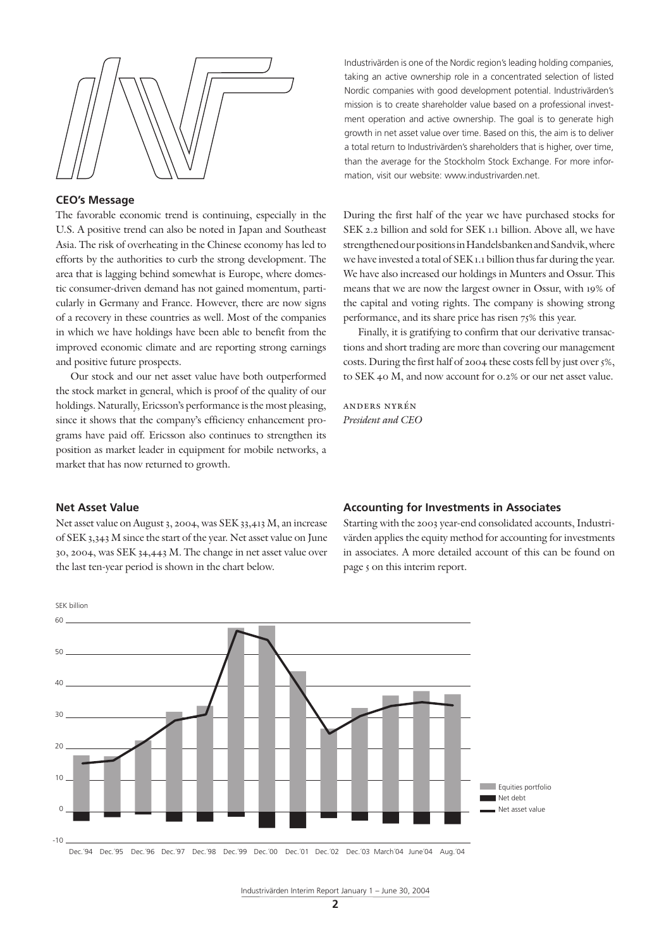

## **CEO's Message**

The favorable economic trend is continuing, especially in the U.S. A positive trend can also be noted in Japan and Southeast Asia. The risk of overheating in the Chinese economy has led to efforts by the authorities to curb the strong development. The area that is lagging behind somewhat is Europe, where domestic consumer-driven demand has not gained momentum, particularly in Germany and France. However, there are now signs of a recovery in these countries as well. Most of the companies in which we have holdings have been able to benefit from the improved economic climate and are reporting strong earnings and positive future prospects.

Our stock and our net asset value have both outperformed the stock market in general, which is proof of the quality of our holdings. Naturally, Ericsson's performance is the most pleasing, since it shows that the company's efficiency enhancement programs have paid off. Ericsson also continues to strengthen its position as market leader in equipment for mobile networks, a market that has now returned to growth.

Industrivärden is one of the Nordic region's leading holding companies, taking an active ownership role in a concentrated selection of listed Nordic companies with good development potential. Industrivärden's mission is to create shareholder value based on a professional investment operation and active ownership. The goal is to generate high growth in net asset value over time. Based on this, the aim is to deliver a total return to Industrivärden's shareholders that is higher, over time, than the average for the Stockholm Stock Exchange. For more information, visit our website: www.industrivarden.net.

During the first half of the year we have purchased stocks for SEK 2.2 billion and sold for SEK 1.1 billion. Above all, we have strengthened our positions in Handelsbanken and Sandvik, where we have invested a total of SEK 1.1 billion thus far during the year. We have also increased our holdings in Munters and Ossur. This means that we are now the largest owner in Ossur, with 19% of the capital and voting rights. The company is showing strong performance, and its share price has risen 75% this year.

Finally, it is gratifying to confirm that our derivative transactions and short trading are more than covering our management costs. During the first half of 2004 these costs fell by just over 5%, to SEK 40 M, and now account for 0.2% or our net asset value.

anders nyrén *President and CEO*

#### **Net Asset Value**

Net asset value on August 3, 2004, was SEK 33,413 M, an increase of SEK 3,343 M since the start of the year. Net asset value on June 30, 2004, was SEK 34,443 M. The change in net asset value over the last ten-year period is shown in the chart below.

### **Accounting for Investments in Associates**

Starting with the 2003 year-end consolidated accounts, Industrivärden applies the equity method for accounting for investments in associates. A more detailed account of this can be found on page 5 on this interim report.

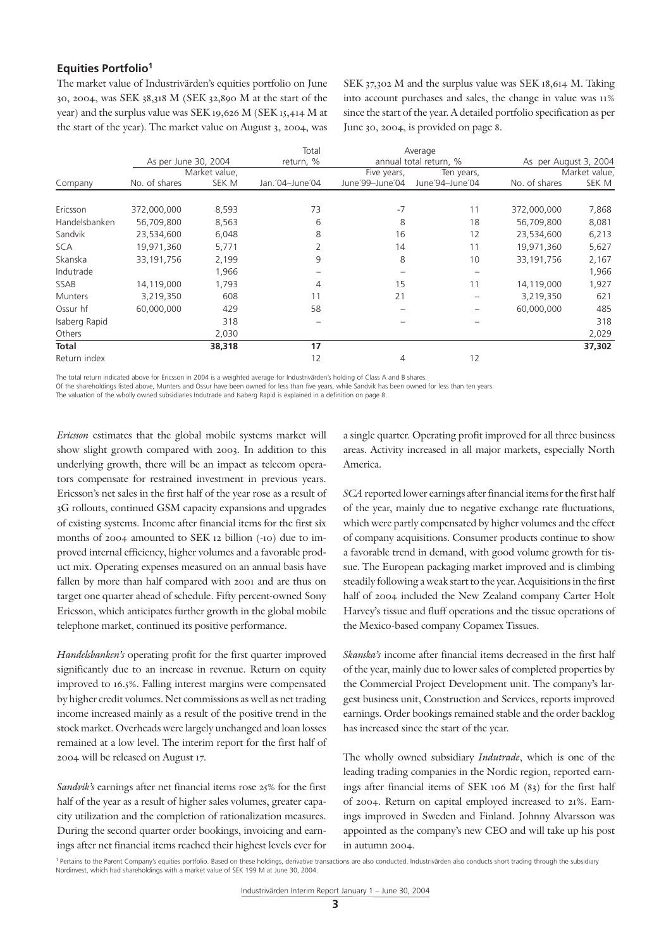## **Equities Portfolio1**

The market value of Industrivärden's equities portfolio on June 30, 2004, was SEK 38,318 M (SEK 32,890 M at the start of the year) and the surplus value was SEK 19,626 M (SEK 15,414 M at the start of the year). The market value on August 3, 2004, was SEK 37,302 M and the surplus value was SEK 18,614 M. Taking into account purchases and sales, the change in value was 11% since the start of the year. A detailed portfolio specification as per June 30, 2004, is provided on page 8.

|                |                      |               | Total           |                        | Average         |                       |               |
|----------------|----------------------|---------------|-----------------|------------------------|-----------------|-----------------------|---------------|
|                | As per June 30, 2004 |               | return, %       | annual total return, % |                 | As per August 3, 2004 |               |
|                |                      | Market value, |                 | Five years,            | Ten years,      |                       | Market value, |
| Company        | No. of shares        | SEK M         | Jan. 04-June 04 | June'99-June'04        | June'94-June'04 | No. of shares         | SEK M         |
|                |                      |               |                 |                        |                 |                       |               |
| Ericsson       | 372,000,000          | 8,593         | 73              | $-7$                   | 11              | 372,000,000           | 7,868         |
| Handelsbanken  | 56,709,800           | 8,563         | 6               | 8                      | 18              | 56,709,800            | 8,081         |
| Sandvik        | 23,534,600           | 6,048         | 8               | 16                     | 12              | 23,534,600            | 6,213         |
| <b>SCA</b>     | 19,971,360           | 5,771         |                 | 14                     | 11              | 19,971,360            | 5,627         |
| Skanska        | 33,191,756           | 2,199         | 9               | 8                      | 10              | 33,191,756            | 2,167         |
| Indutrade      |                      | 1,966         |                 |                        |                 |                       | 1,966         |
| SSAB           | 14,119,000           | 1,793         | 4               | 15                     | 11              | 14,119,000            | 1,927         |
| <b>Munters</b> | 3,219,350            | 608           | 11              | 21                     |                 | 3,219,350             | 621           |
| Ossur hf       | 60,000,000           | 429           | 58              |                        |                 | 60,000,000            | 485           |
| Isaberg Rapid  |                      | 318           |                 |                        |                 |                       | 318           |
| Others         |                      | 2,030         |                 |                        |                 |                       | 2,029         |
| <b>Total</b>   |                      | 38,318        | 17              |                        |                 |                       | 37,302        |
| Return index   |                      |               | 12              | 4                      | 12              |                       |               |

The total return indicated above for Ericsson in 2004 is a weighted average for Industrivärden's holding of Class A and B shares.

Of the shareholdings listed above, Munters and Ossur have been owned for less than five years, while Sandvik has been owned for less than ten years.

The valuation of the wholly owned subsidiaries Indutrade and Isaberg Rapid is explained in a definition on page 8.

*Ericsson* estimates that the global mobile systems market will show slight growth compared with 2003. In addition to this underlying growth, there will be an impact as telecom operators compensate for restrained investment in previous years. Ericsson's net sales in the first half of the year rose as a result of 3G rollouts, continued GSM capacity expansions and upgrades of existing systems. Income after financial items for the first six months of 2004 amounted to SEK 12 billion (-10) due to improved internal efficiency, higher volumes and a favorable product mix. Operating expenses measured on an annual basis have fallen by more than half compared with 2001 and are thus on target one quarter ahead of schedule. Fifty percent-owned Sony Ericsson, which anticipates further growth in the global mobile telephone market, continued its positive performance.

*Handelsbanken's* operating profit for the first quarter improved significantly due to an increase in revenue. Return on equity improved to 16.5%. Falling interest margins were compensated by higher credit volumes. Net commissions as well as net trading income increased mainly as a result of the positive trend in the stock market. Overheads were largely unchanged and loan losses remained at a low level. The interim report for the first half of 2004 will be released on August 17.

*Sandvik's* earnings after net financial items rose 25% for the first half of the year as a result of higher sales volumes, greater capacity utilization and the completion of rationalization measures. During the second quarter order bookings, invoicing and earnings after net financial items reached their highest levels ever for a single quarter. Operating profit improved for all three business areas. Activity increased in all major markets, especially North America.

*SCA* reported lower earnings after financial items for the first half of the year, mainly due to negative exchange rate fluctuations, which were partly compensated by higher volumes and the effect of company acquisitions. Consumer products continue to show a favorable trend in demand, with good volume growth for tissue. The European packaging market improved and is climbing steadily following a weak start to the year. Acquisitions in the first half of 2004 included the New Zealand company Carter Holt Harvey's tissue and fluff operations and the tissue operations of the Mexico-based company Copamex Tissues.

*Skanska's* income after financial items decreased in the first half of the year, mainly due to lower sales of completed properties by the Commercial Project Development unit. The company's largest business unit, Construction and Services, reports improved earnings. Order bookings remained stable and the order backlog has increased since the start of the year.

The wholly owned subsidiary *Indutrade*, which is one of the leading trading companies in the Nordic region, reported earnings after financial items of SEK 106 M (83) for the first half of 2004. Return on capital employed increased to 21%. Earnings improved in Sweden and Finland. Johnny Alvarsson was appointed as the company's new CEO and will take up his post in autumn 2004.

<sup>&</sup>lt;sup>1</sup> Pertains to the Parent Company's equities portfolio. Based on these holdings, derivative transactions are also conducted. Industrivärden also conducts short trading through the subsidiary Nordinvest, which had shareholdings with a market value of SEK 199 M at June 30, 2004.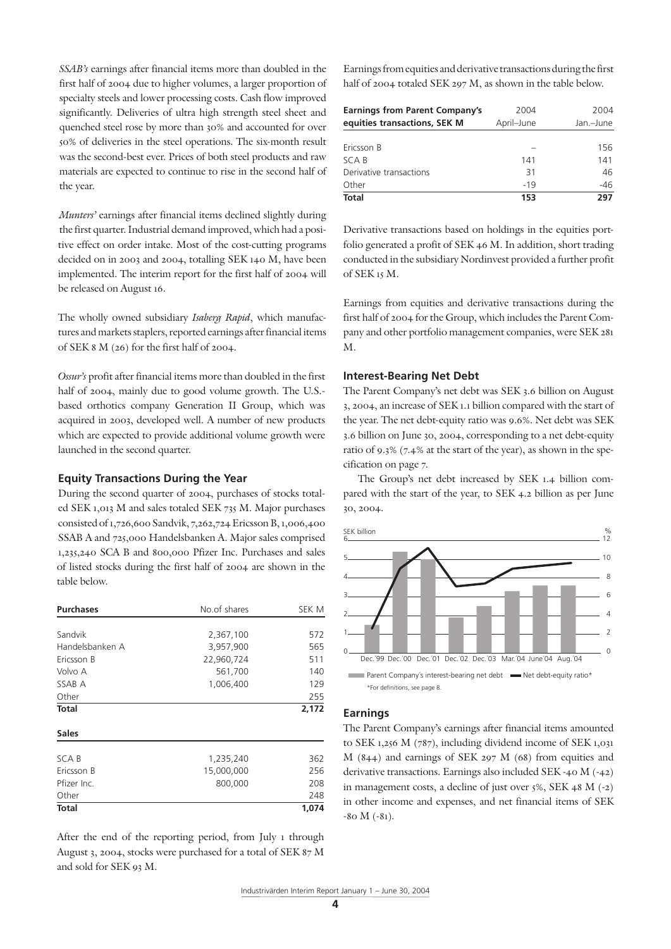*SSAB's* earnings after financial items more than doubled in the first half of 2004 due to higher volumes, a larger proportion of specialty steels and lower processing costs. Cash flow improved significantly. Deliveries of ultra high strength steel sheet and quenched steel rose by more than 30% and accounted for over 50% of deliveries in the steel operations. The six-month result was the second-best ever. Prices of both steel products and raw materials are expected to continue to rise in the second half of the year.

*Munters'* earnings after financial items declined slightly during the first quarter. Industrial demand improved, which had a positive effect on order intake. Most of the cost-cutting programs decided on in 2003 and 2004, totalling SEK 140 M, have been implemented. The interim report for the first half of 2004 will be released on August 16.

The wholly owned subsidiary *Isaberg Rapid*, which manufactures and markets staplers, reported earnings after financial items of SEK 8 M (26) for the first half of 2004.

*Ossur's* profit after financial items more than doubled in the first half of 2004, mainly due to good volume growth. The U.S. based orthotics company Generation II Group, which was acquired in 2003, developed well. A number of new products which are expected to provide additional volume growth were launched in the second quarter.

## **Equity Transactions During the Year**

During the second quarter of 2004, purchases of stocks totaled SEK 1,013 M and sales totaled SEK 735 M. Major purchases consisted of 1,726,600 Sandvik, 7,262,724 Ericsson B, 1,006,400 SSAB A and 725,000 Handelsbanken A. Major sales comprised 1,235,240 SCA B and 800,000 Pfizer Inc. Purchases and sales of listed stocks during the first half of 2004 are shown in the table below.

| <b>Purchases</b> | No.of shares | SEK M |
|------------------|--------------|-------|
|                  |              |       |
| Sandvik          | 2,367,100    | 572   |
| Handelsbanken A  | 3,957,900    | 565   |
| Ericsson B       | 22,960,724   | 511   |
| Volvo A          | 561,700      | 140   |
| SSAB A           | 1,006,400    | 129   |
| Other            |              | 255   |
| <b>Total</b>     |              | 2,172 |
| <b>Sales</b>     |              |       |
| SCA B            | 1,235,240    | 362   |
| Ericsson B       | 15,000,000   | 256   |
| Pfizer Inc.      | 800,000      | 208   |
| Other            |              | 248   |
| Total            |              | 1,074 |

After the end of the reporting period, from July 1 through August 3, 2004, stocks were purchased for a total of SEK 87 M and sold for SEK 93 M.

Earnings from equities and derivative transactions during the first half of 2004 totaled SEK 297 M, as shown in the table below.

| <b>Earnings from Parent Company's</b><br>equities transactions, SEK M | 2004<br>April-June | 2004<br>Jan.-June |  |
|-----------------------------------------------------------------------|--------------------|-------------------|--|
|                                                                       |                    |                   |  |
| Ericsson B                                                            |                    | 156               |  |
| SCA B                                                                 | 141                | 141               |  |
| Derivative transactions                                               | 31                 | 46                |  |
| Other                                                                 | $-19$              | -46               |  |
| <b>Total</b>                                                          | 153                | 297               |  |

Derivative transactions based on holdings in the equities portfolio generated a profit of SEK 46 M. In addition, short trading conducted in the subsidiary Nordinvest provided a further profit of SEK 15 M.

Earnings from equities and derivative transactions during the first half of 2004 for the Group, which includes the Parent Company and other portfolio management companies, were SEK 281 M.

## **Interest-Bearing Net Debt**

The Parent Company's net debt was SEK 3.6 billion on August 3, 2004, an increase of SEK 1.1 billion compared with the start of the year. The net debt-equity ratio was 9.6%. Net debt was SEK 3.6 billion on June 30, 2004, corresponding to a net debt-equity ratio of 9.3% (7.4% at the start of the year), as shown in the specification on page 7.

The Group's net debt increased by SEK 1.4 billion compared with the start of the year, to SEK 4.2 billion as per June 30, 2004.



## **Earnings**

The Parent Company's earnings after financial items amounted to SEK 1,256 M (787), including dividend income of SEK 1,031 M (844) and earnings of SEK 297 M (68) from equities and derivative transactions. Earnings also included SEK -40 M (-42) in management costs, a decline of just over 5%, SEK 48 M (-2) in other income and expenses, and net financial items of SEK -80 M (-81).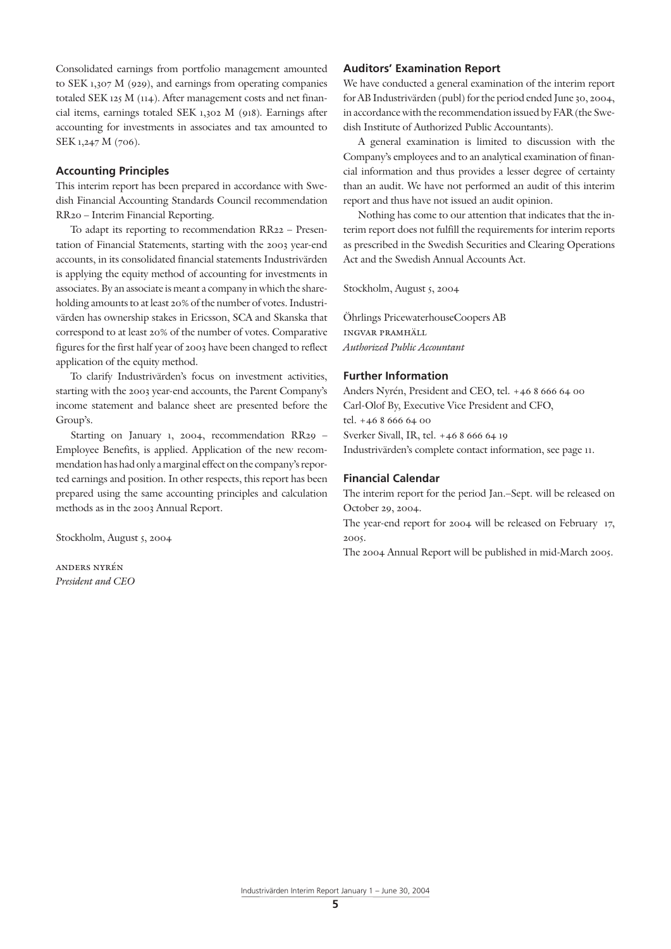Consolidated earnings from portfolio management amounted to SEK 1,307 M (929), and earnings from operating companies totaled SEK 125 M (114). After management costs and net financial items, earnings totaled SEK 1,302 M (918). Earnings after accounting for investments in associates and tax amounted to SEK 1,247 M (706).

## **Accounting Principles**

This interim report has been prepared in accordance with Swedish Financial Accounting Standards Council recommendation RR20 – Interim Financial Reporting.

To adapt its reporting to recommendation RR22 – Presentation of Financial Statements, starting with the 2003 year-end accounts, in its consolidated financial statements Industrivärden is applying the equity method of accounting for investments in associates. By an associate is meant a company in which the shareholding amounts to at least 20% of the number of votes. Industrivärden has ownership stakes in Ericsson, SCA and Skanska that correspond to at least 20% of the number of votes. Comparative figures for the first half year of 2003 have been changed to reflect application of the equity method.

To clarify Industrivärden's focus on investment activities, starting with the 2003 year-end accounts, the Parent Company's income statement and balance sheet are presented before the Group's.

Starting on January 1, 2004, recommendation RR29 – Employee Benefits, is applied. Application of the new recommendation has had only a marginal effect on the company's reported earnings and position. In other respects, this report has been prepared using the same accounting principles and calculation methods as in the 2003 Annual Report.

Stockholm, August 5, 2004

anders nyrén *President and CEO*

## **Auditors' Examination Report**

We have conducted a general examination of the interim report for AB Industrivärden (publ) for the period ended June 30, 2004, in accordance with the recommendation issued by FAR (the Swedish Institute of Authorized Public Accountants).

A general examination is limited to discussion with the Company's employees and to an analytical examination of financial information and thus provides a lesser degree of certainty than an audit. We have not performed an audit of this interim report and thus have not issued an audit opinion.

Nothing has come to our attention that indicates that the interim report does not fulfill the requirements for interim reports as prescribed in the Swedish Securities and Clearing Operations Act and the Swedish Annual Accounts Act.

Stockholm, August 5, 2004

Öhrlings PricewaterhouseCoopers AB ingvar pramhäll *Authorized Public Accountant*

## **Further Information**

Anders Nyrén, President and CEO, tel. +46 8 666 64 00 Carl-Olof By, Executive Vice President and CFO, tel. +46 8 666 64 00 Sverker Sivall, IR, tel. +46 8 666 64 19 Industrivärden's complete contact information, see page 11.

## **Financial Calendar**

The interim report for the period Jan.–Sept. will be released on October 29, 2004.

The year-end report for 2004 will be released on February 17, 2005.

The 2004 Annual Report will be published in mid-March 2005.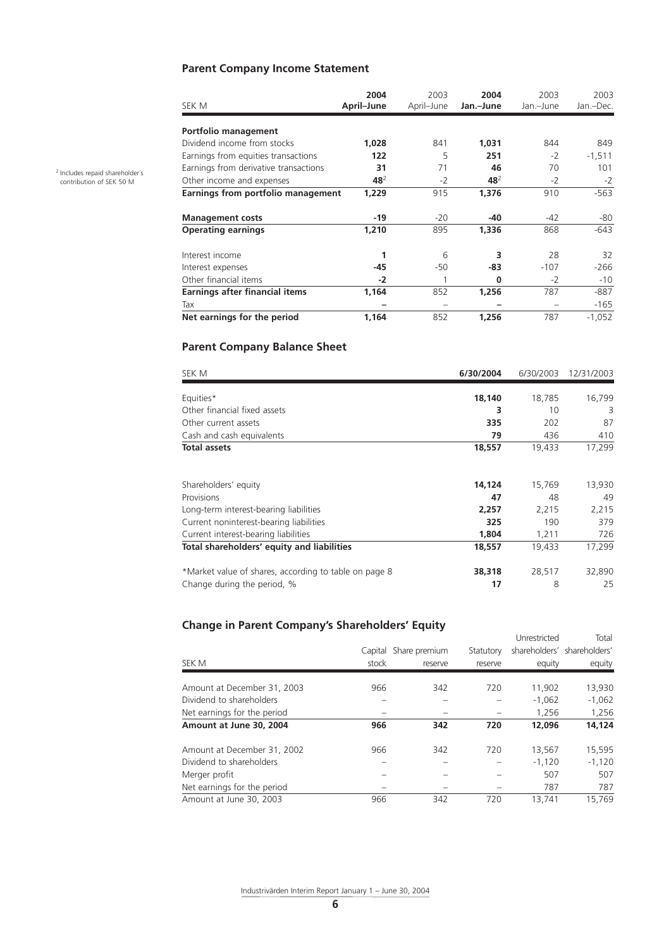# **Parent Company Income Statement**

| SEK M                                 | 2004<br>April-June | 2003<br>April-June | 2004<br>Jan.-June | 2003<br>Jan.-June | 2003<br>Jan.-Dec. |
|---------------------------------------|--------------------|--------------------|-------------------|-------------------|-------------------|
| Portfolio management                  |                    |                    |                   |                   |                   |
| Dividend income from stocks           | 1,028              | 841                | 1,031             | 844               | 849               |
| Earnings from equities transactions   | 122                | 5                  | 251               | $-2$              | $-1,511$          |
| Earnings from derivative transactions | 31                 | 71                 | 46                | 70                | 101               |
| Other income and expenses             | 48 <sup>2</sup>    | $-2$               | 48 <sup>2</sup>   | $-2$              | $-2$              |
| Earnings from portfolio management    | 1,229              | 915                | 1,376             | 910               | $-563$            |
| <b>Management costs</b>               | -19                | $-20$              | -40               | $-42$             | -80               |
| <b>Operating earnings</b>             | 1,210              | 895                | 1,336             | 868               | $-643$            |
| Interest income                       | 1                  | 6                  | 3                 | 28                | 32                |
| Interest expenses                     | $-45$              | -50                | -83               | $-107$            | $-266$            |
| Other financial items                 | $-2$               |                    | $\Omega$          | $-2$              | $-10$             |
| <b>Earnings after financial items</b> | 1,164              | 852                | 1,256             | 787               | -887              |
| Tax                                   |                    |                    |                   |                   | $-165$            |
| Net earnings for the period           | 1,164              | 852                | 1,256             | 787               | $-1,052$          |

# **Parent Company Balance Sheet**

| SEK M                                                 | 6/30/2004 | 6/30/2003 | 12/31/2003 |
|-------------------------------------------------------|-----------|-----------|------------|
| Equities*                                             | 18,140    | 18,785    | 16,799     |
| Other financial fixed assets                          | 3         | 10        | 3          |
| Other current assets                                  | 335       | 202       | 87         |
| Cash and cash equivalents                             | 79        | 436       | 410        |
| <b>Total assets</b>                                   | 18,557    | 19,433    | 17,299     |
|                                                       |           |           |            |
| Shareholders' equity                                  | 14,124    | 15,769    | 13,930     |
| Provisions                                            | 47        | 48        | 49         |
| Long-term interest-bearing liabilities                | 2,257     | 2,215     | 2,215      |
| Current noninterest-bearing liabilities               | 325       | 190       | 379        |
| Current interest-bearing liabilities                  | 1,804     | 1,211     | 726        |
| Total shareholders' equity and liabilities            | 18,557    | 19,433    | 17,299     |
| *Market value of shares, according to table on page 8 | 38,318    | 28,517    | 32,890     |
| Change during the period, %                           | 17        | 8         | 25         |

# **Change in Parent Company's Shareholders' Equity**

|                             |         |               |           | Unrestricted | Total                       |
|-----------------------------|---------|---------------|-----------|--------------|-----------------------------|
|                             | Capital | Share premium | Statutory |              | shareholders' shareholders' |
| SEK M                       | stock   | reserve       | reserve   | equity       | equity                      |
| Amount at December 31, 2003 | 966     | 342           | 720       | 11,902       | 13,930                      |
| Dividend to shareholders    |         |               |           | $-1.062$     | $-1,062$                    |
| Net earnings for the period |         |               |           | 1.256        | 1,256                       |
| Amount at June 30, 2004     | 966     | 342           | 720       | 12,096       | 14,124                      |
| Amount at December 31, 2002 | 966     | 342           | 720       | 13,567       | 15,595                      |
| Dividend to shareholders    |         |               |           | $-1,120$     | $-1.120$                    |
| Merger profit               |         |               |           | 507          | 507                         |
| Net earnings for the period |         |               |           | 787          | 787                         |
| Amount at June 30, 2003     | 966     | 342           | 720       | 13,741       | 15.769                      |

2 Includes repaid shareholder´s contribution of SEK 50 M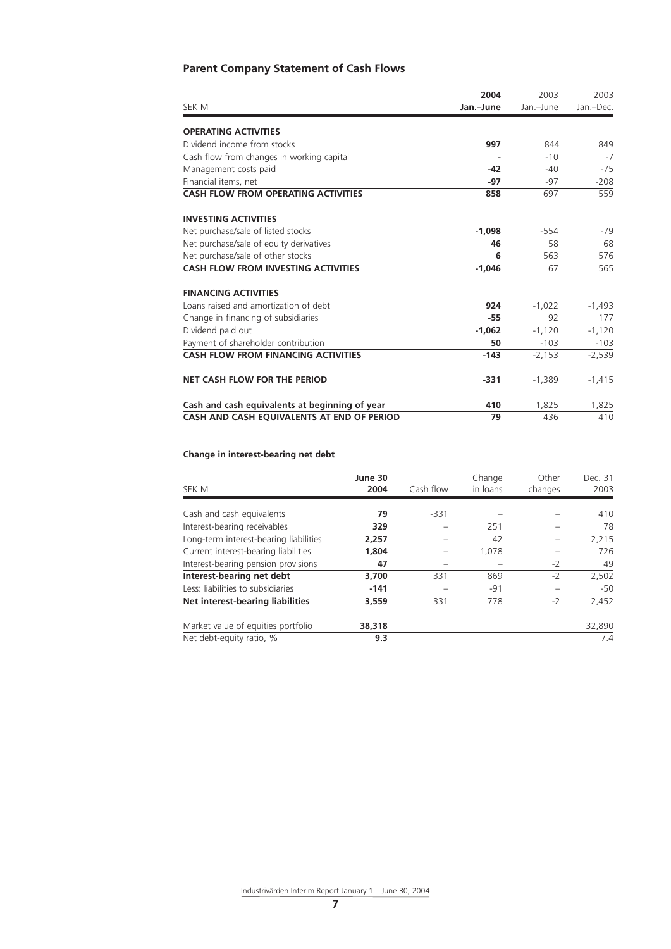# **Parent Company Statement of Cash Flows**

|                                                | 2004      | 2003      | 2003      |
|------------------------------------------------|-----------|-----------|-----------|
| SEK M                                          | Jan.-June | Jan.-June | Jan.-Dec. |
| <b>OPERATING ACTIVITIES</b>                    |           |           |           |
| Dividend income from stocks                    | 997       | 844       | 849       |
| Cash flow from changes in working capital      |           | $-10$     | $-7$      |
| Management costs paid                          | $-42$     | $-40$     | $-75$     |
| Financial items, net                           | $-97$     | $-97$     | $-208$    |
| <b>CASH FLOW FROM OPERATING ACTIVITIES</b>     | 858       | 697       | 559       |
| <b>INVESTING ACTIVITIES</b>                    |           |           |           |
| Net purchase/sale of listed stocks             | $-1.098$  | $-554$    | -79       |
| Net purchase/sale of equity derivatives        | 46        | 58        | 68        |
| Net purchase/sale of other stocks              | 6         | 563       | 576       |
| <b>CASH FLOW FROM INVESTING ACTIVITIES</b>     | $-1.046$  | 67        | 565       |
| <b>FINANCING ACTIVITIES</b>                    |           |           |           |
| Loans raised and amortization of debt          | 924       | $-1,022$  | $-1,493$  |
| Change in financing of subsidiaries            | $-55$     | 92        | 177       |
| Dividend paid out                              | $-1.062$  | $-1,120$  | $-1,120$  |
| Payment of shareholder contribution            | 50        | $-103$    | $-103$    |
| <b>CASH FLOW FROM FINANCING ACTIVITIES</b>     | $-143$    | $-2,153$  | $-2,539$  |
| <b>NET CASH FLOW FOR THE PERIOD</b>            | $-331$    | $-1,389$  | $-1,415$  |
| Cash and cash equivalents at beginning of year | 410       | 1,825     | 1,825     |
| CASH AND CASH EQUIVALENTS AT END OF PERIOD     | 79        | 436       | 410       |

## **Change in interest-bearing net debt**

| SEK M                                  | June 30<br>2004 | Cash flow | Change<br>in loans | Other<br>changes | Dec. 31<br>2003 |
|----------------------------------------|-----------------|-----------|--------------------|------------------|-----------------|
|                                        |                 |           |                    |                  |                 |
| Cash and cash equivalents              | 79              | $-331$    |                    |                  | 410             |
| Interest-bearing receivables           | 329             |           | 251                |                  | 78              |
| Long-term interest-bearing liabilities | 2,257           |           | 42                 |                  | 2,215           |
| Current interest-bearing liabilities   | 1.804           |           | 1,078              |                  | 726             |
| Interest-bearing pension provisions    | 47              |           |                    | $-2$             | 49              |
| Interest-bearing net debt              | 3,700           | 331       | 869                | $-2$             | 2,502           |
| Less: liabilities to subsidiaries      | $-141$          |           | $-91$              |                  | $-50$           |
| Net interest-bearing liabilities       | 3,559           | 331       | 778                | $-2$             | 2,452           |
| Market value of equities portfolio     | 38,318          |           |                    |                  | 32,890          |
| Net debt-equity ratio, %               | 9.3             |           |                    |                  | 7.4             |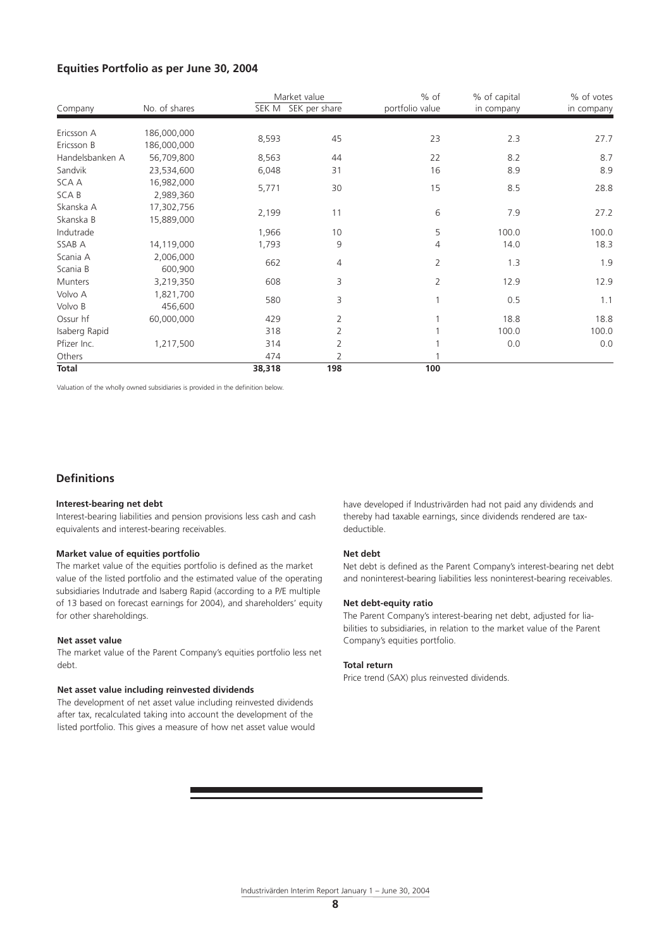## **Equities Portfolio as per June 30, 2004**

| Company         | No. of shares | Market value<br>SEK M | SEK per share | % of<br>portfolio value | % of capital<br>in company | % of votes<br>in company |
|-----------------|---------------|-----------------------|---------------|-------------------------|----------------------------|--------------------------|
| Ericsson A      | 186,000,000   |                       |               |                         |                            |                          |
| Ericsson B      | 186,000,000   | 8,593                 | 45            | 23                      | 2.3                        | 27.7                     |
| Handelsbanken A | 56,709,800    | 8,563                 | 44            | 22                      | 8.2                        | 8.7                      |
| Sandvik         | 23,534,600    | 6,048                 | 31            | 16                      | 8.9                        | 8.9                      |
| SCA A           | 16,982,000    |                       | 30            | 15                      |                            |                          |
| <b>SCAB</b>     | 2,989,360     | 5,771                 |               |                         | 8.5                        | 28.8                     |
| Skanska A       | 17,302,756    | 2,199                 | 11            | 6                       | 7.9                        | 27.2                     |
| Skanska B       | 15,889,000    |                       |               |                         |                            |                          |
| Indutrade       |               | 1,966                 | 10            | 5                       | 100.0                      | 100.0                    |
| SSAB A          | 14,119,000    | 1,793                 | 9             | 4                       | 14.0                       | 18.3                     |
| Scania A        | 2,006,000     | 662                   | 4             | 2                       | 1.3                        | 1.9                      |
| Scania B        | 600,900       |                       |               |                         |                            |                          |
| Munters         | 3,219,350     | 608                   | 3             | $\overline{2}$          | 12.9                       | 12.9                     |
| Volvo A         | 1,821,700     | 580                   | 3             |                         | 0.5                        | 1.1                      |
| Volvo B         | 456,600       |                       |               |                         |                            |                          |
| Ossur hf        | 60,000,000    | 429                   | 2             |                         | 18.8                       | 18.8                     |
| Isaberg Rapid   |               | 318                   | 2             |                         | 100.0                      | 100.0                    |
| Pfizer Inc.     | 1,217,500     | 314                   | 2             |                         | 0.0                        | 0.0                      |
| Others          |               | 474                   | 2             |                         |                            |                          |
| <b>Total</b>    |               | 38,318                | 198           | 100                     |                            |                          |

Valuation of the wholly owned subsidiaries is provided in the definition below.

## **Definitions**

#### **Interest-bearing net debt**

Interest-bearing liabilities and pension provisions less cash and cash equivalents and interest-bearing receivables.

#### **Market value of equities portfolio**

The market value of the equities portfolio is defined as the market value of the listed portfolio and the estimated value of the operating subsidiaries Indutrade and Isaberg Rapid (according to a P/E multiple of 13 based on forecast earnings for 2004), and shareholders' equity for other shareholdings.

#### **Net asset value**

The market value of the Parent Company's equities portfolio less net debt.

#### **Net asset value including reinvested dividends**

The development of net asset value including reinvested dividends after tax, recalculated taking into account the development of the listed portfolio. This gives a measure of how net asset value would have developed if Industrivärden had not paid any dividends and thereby had taxable earnings, since dividends rendered are taxdeductible.

#### **Net debt**

Net debt is defined as the Parent Company's interest-bearing net debt and noninterest-bearing liabilities less noninterest-bearing receivables.

#### **Net debt-equity ratio**

The Parent Company's interest-bearing net debt, adjusted for liabilities to subsidiaries, in relation to the market value of the Parent Company's equities portfolio.

#### **Total return**

Price trend (SAX) plus reinvested dividends.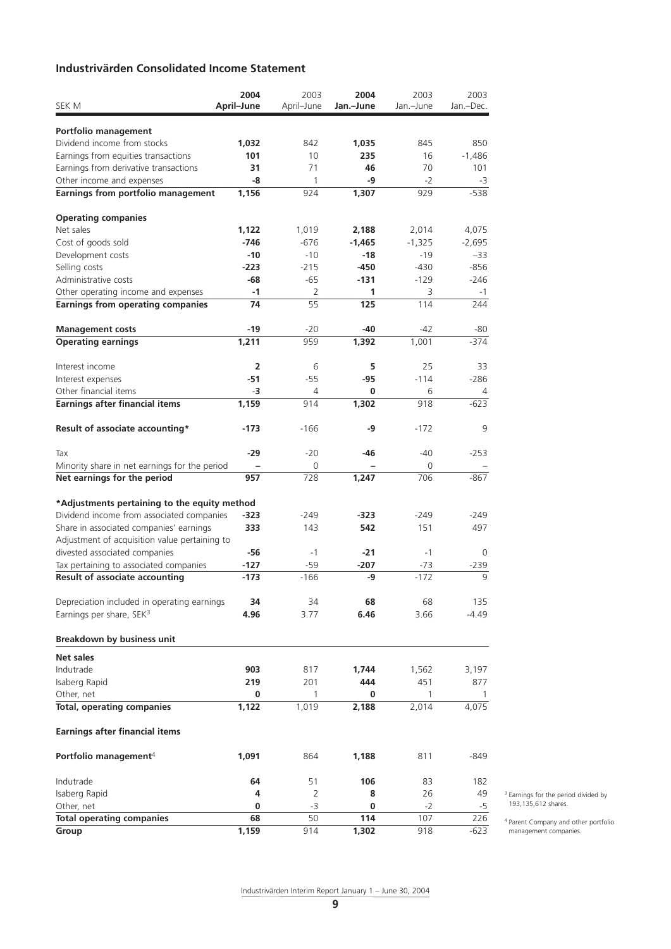# **Industrivärden Consolidated Income Statement**

|                                                                                           | 2004           | 2003       | 2004      | 2003         | 2003         |
|-------------------------------------------------------------------------------------------|----------------|------------|-----------|--------------|--------------|
| SEK M                                                                                     | April-June     | April-June | Jan.-June | Jan.-June    | Jan.-Dec.    |
| Portfolio management                                                                      |                |            |           |              |              |
| Dividend income from stocks                                                               | 1,032          | 842        | 1,035     | 845          | 850          |
| Earnings from equities transactions                                                       | 101            | 10         | 235       | 16           | $-1,486$     |
| Earnings from derivative transactions                                                     | 31             | 71         | 46        | 70           | 101          |
| Other income and expenses                                                                 | -8             | 1          | -9        | $-2$         | -3           |
| Earnings from portfolio management                                                        | 1,156          | 924        | 1,307     | 929          | $-538$       |
|                                                                                           |                |            |           |              |              |
| <b>Operating companies</b>                                                                |                |            |           |              |              |
| Net sales                                                                                 | 1,122          | 1,019      | 2,188     | 2,014        | 4,075        |
| Cost of goods sold                                                                        | -746           | $-676$     | $-1,465$  | $-1,325$     | $-2,695$     |
| Development costs                                                                         | $-10$          | $-10$      | $-18$     | $-19$        | $-33$        |
| Selling costs                                                                             | $-223$         | $-215$     | $-450$    | $-430$       | $-856$       |
| Administrative costs                                                                      | -68            | -65        | $-131$    | $-129$       | $-246$       |
| Other operating income and expenses                                                       | -1             | 2          | 1         | 3            | $-1$         |
| <b>Earnings from operating companies</b>                                                  | 74             | 55         | 125       | 114          | 244          |
| <b>Management costs</b>                                                                   | -19            | $-20$      | -40       | -42          | -80          |
| <b>Operating earnings</b>                                                                 | 1,211          | 959        | 1,392     | 1,001        | $-374$       |
|                                                                                           |                |            |           |              |              |
| Interest income                                                                           | $\overline{2}$ | 6          | 5         | 25<br>$-114$ | 33<br>$-286$ |
| Interest expenses<br>Other financial items                                                | -51<br>-3      | $-55$<br>4 | -95<br>0  | 6            | 4            |
| <b>Earnings after financial items</b>                                                     | 1,159          | 914        | 1,302     | 918          | $-623$       |
|                                                                                           |                |            |           |              |              |
| Result of associate accounting*                                                           | $-173$         | $-166$     | -9        | $-172$       | 9            |
| Tax                                                                                       | -29            | $-20$      | -46       | $-40$        | $-253$       |
| Minority share in net earnings for the period                                             |                | 0          |           | 0            |              |
| Net earnings for the period                                                               | 957            | 728        | 1,247     | 706          | $-867$       |
|                                                                                           |                |            |           |              |              |
| *Adjustments pertaining to the equity method<br>Dividend income from associated companies | -323           | -249       | -323      | $-249$       | -249         |
| Share in associated companies' earnings                                                   | 333            | 143        | 542       | 151          | 497          |
| Adjustment of acquisition value pertaining to                                             |                |            |           |              |              |
| divested associated companies                                                             | -56            | $-1$       | $-21$     | -1           | 0            |
|                                                                                           | $-127$         | $-59$      | $-207$    | $-73$        | $-239$       |
| Tax pertaining to associated companies<br><b>Result of associate accounting</b>           | $-173$         | $-166$     | -9        | $-172$       | 9            |
|                                                                                           |                |            |           |              |              |
| Depreciation included in operating earnings                                               | 34             | 34         | 68        | 68           | 135          |
| Earnings per share, SEK <sup>3</sup>                                                      | 4.96           | 3.77       | 6.46      | 3.66         | -4.49        |
|                                                                                           |                |            |           |              |              |
| <b>Breakdown by business unit</b>                                                         |                |            |           |              |              |
| Net sales                                                                                 |                |            |           |              |              |
| Indutrade                                                                                 | 903            | 817        | 1,744     | 1,562        | 3,197        |
| Isaberg Rapid                                                                             | 219            | 201        | 444       | 451          | 877          |
| Other, net                                                                                | 0              | 1          | 0         | $\mathbf{1}$ | 1            |
| <b>Total, operating companies</b>                                                         | 1,122          | 1,019      | 2,188     | 2,014        | 4,075        |
| <b>Earnings after financial items</b>                                                     |                |            |           |              |              |
| Portfolio management <sup>4</sup>                                                         | 1,091          | 864        | 1,188     | 811          | -849         |
|                                                                                           |                |            |           |              |              |
| Indutrade                                                                                 | 64             | 51         | 106       | 83           | 182          |
| Isaberg Rapid                                                                             | 4              | 2          | 8         | 26           | 49           |
| Other, net<br><b>Total operating companies</b>                                            | 0<br>68        | $-3$<br>50 | 0<br>114  | $-2$<br>107  | $-5$<br>226  |
| Group                                                                                     | 1,159          | 914        | 1,302     | 918          | $-623$       |
|                                                                                           |                |            |           |              |              |

3 Earnings for the period divided by 193,135,612 shares.

4 Parent Company and other portfolio management companies.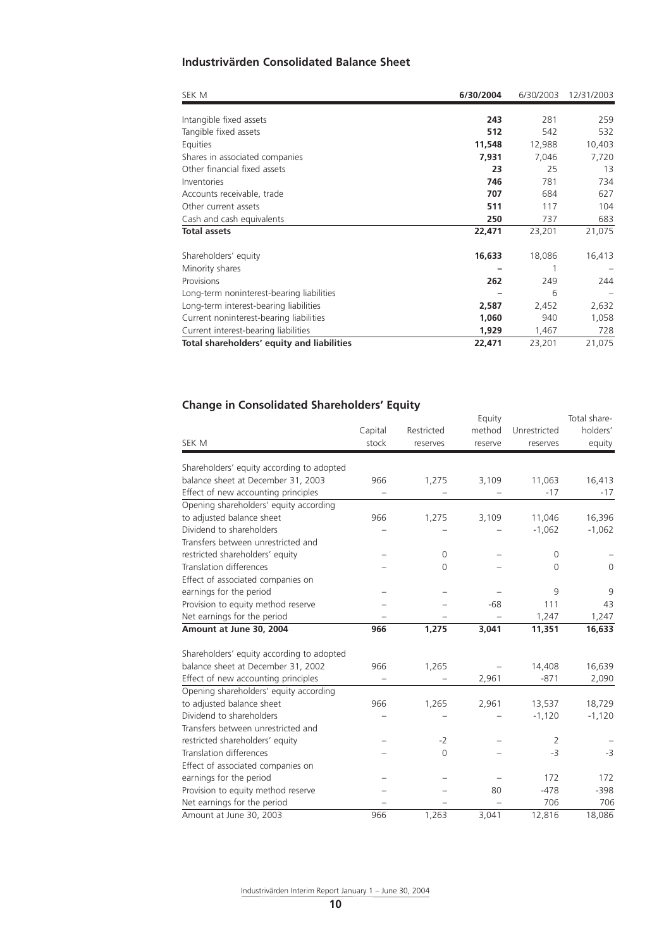# **Industrivärden Consolidated Balance Sheet**

| SEK M                                      | 6/30/2004 | 6/30/2003 | 12/31/2003 |
|--------------------------------------------|-----------|-----------|------------|
|                                            |           |           |            |
| Intangible fixed assets                    | 243       | 281       | 259        |
| Tangible fixed assets                      | 512       | 542       | 532        |
| Equities                                   | 11,548    | 12,988    | 10,403     |
| Shares in associated companies             | 7,931     | 7,046     | 7,720      |
| Other financial fixed assets               | 23        | 25        | 13         |
| Inventories                                | 746       | 781       | 734        |
| Accounts receivable, trade                 | 707       | 684       | 627        |
| Other current assets                       | 511       | 117       | 104        |
| Cash and cash equivalents                  | 250       | 737       | 683        |
| <b>Total assets</b>                        | 22,471    | 23,201    | 21,075     |
| Shareholders' equity                       | 16,633    | 18,086    | 16,413     |
| Minority shares                            |           |           |            |
| Provisions                                 | 262       | 249       | 244        |
| Long-term noninterest-bearing liabilities  |           | 6         |            |
| Long-term interest-bearing liabilities     | 2,587     | 2,452     | 2,632      |
| Current noninterest-bearing liabilities    | 1,060     | 940       | 1,058      |
| Current interest-bearing liabilities       | 1,929     | 1,467     | 728        |
| Total shareholders' equity and liabilities | 22,471    | 23,201    | 21,075     |

# **Change in Consolidated Shareholders' Equity**

|                                           | Capital | Restricted | Equity<br>method | Unrestricted | Total share-<br>holders' |
|-------------------------------------------|---------|------------|------------------|--------------|--------------------------|
| SEK M                                     | stock   | reserves   | reserve          | reserves     | equity                   |
| Shareholders' equity according to adopted |         |            |                  |              |                          |
| balance sheet at December 31, 2003        | 966     | 1,275      | 3,109            | 11,063       | 16,413                   |
| Effect of new accounting principles       |         |            |                  | $-17$        | $-17$                    |
| Opening shareholders' equity according    |         |            |                  |              |                          |
| to adjusted balance sheet                 | 966     | 1,275      | 3,109            | 11,046       | 16,396                   |
| Dividend to shareholders                  |         |            |                  | $-1,062$     | $-1,062$                 |
| Transfers between unrestricted and        |         |            |                  |              |                          |
| restricted shareholders' equity           |         | $\Omega$   |                  | 0            |                          |
| Translation differences                   |         | $\Omega$   |                  | $\Omega$     | $\Omega$                 |
| Effect of associated companies on         |         |            |                  |              |                          |
| earnings for the period                   |         |            |                  | 9            | 9                        |
| Provision to equity method reserve        |         |            | $-68$            | 111          | 43                       |
| Net earnings for the period               |         |            |                  | 1,247        | 1,247                    |
| Amount at June 30, 2004                   | 966     | 1,275      | 3,041            | 11,351       | 16,633                   |
|                                           |         |            |                  |              |                          |
| Shareholders' equity according to adopted |         |            |                  |              |                          |
| balance sheet at December 31, 2002        | 966     | 1,265      |                  | 14,408       | 16,639                   |
| Effect of new accounting principles       |         |            | 2,961            | $-871$       | 2,090                    |
| Opening shareholders' equity according    |         |            |                  |              |                          |
| to adjusted balance sheet                 | 966     | 1,265      | 2,961            | 13,537       | 18,729                   |
| Dividend to shareholders                  |         |            |                  | $-1,120$     | $-1,120$                 |
| Transfers between unrestricted and        |         |            |                  |              |                          |
| restricted shareholders' equity           |         | $-2$       |                  | 2            |                          |
| <b>Translation differences</b>            |         | $\Omega$   |                  | $-3$         | $-3$                     |
| Effect of associated companies on         |         |            |                  |              |                          |
| earnings for the period                   |         |            |                  | 172          | 172                      |
| Provision to equity method reserve        |         |            | 80               | $-478$       | $-398$                   |
| Net earnings for the period               |         |            |                  | 706          | 706                      |
| Amount at June 30, 2003                   | 966     | 1,263      | 3,041            | 12,816       | 18,086                   |